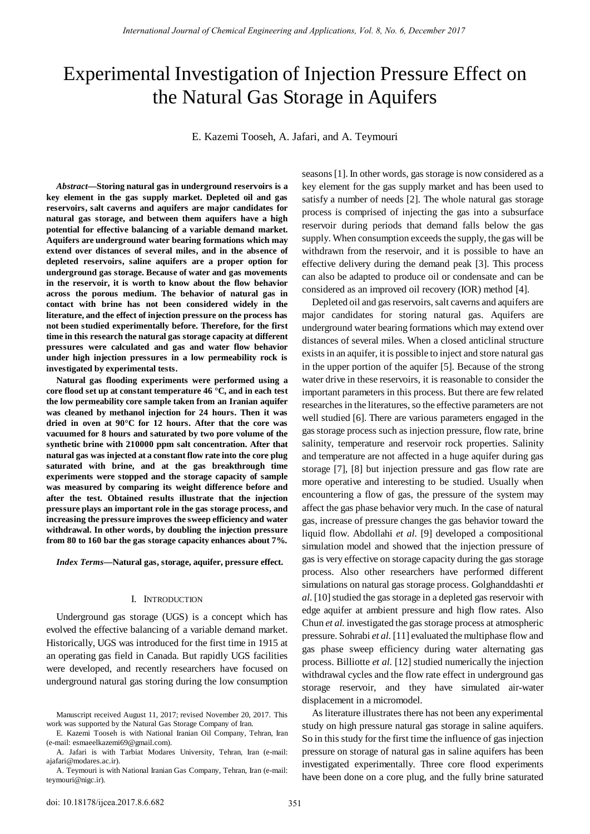# Experimental Investigation of Injection Pressure Effect on the Natural Gas Storage in Aquifers

E. Kazemi Tooseh, A. Jafari, and A. Teymouri

*Abstract***—Storing natural gas in underground reservoirs is a key element in the gas supply market. Depleted oil and gas reservoirs, salt caverns and aquifers are major candidates for natural gas storage, and between them aquifers have a high potential for effective balancing of a variable demand market. Aquifers are underground water bearing formations which may extend over distances of several miles, and in the absence of depleted reservoirs, saline aquifers are a proper option for underground gas storage. Because of water and gas movements in the reservoir, it is worth to know about the flow behavior across the porous medium. The behavior of natural gas in contact with brine has not been considered widely in the literature, and the effect of injection pressure on the process has not been studied experimentally before. Therefore, for the first time in this research the natural gas storage capacity at different pressures were calculated and gas and water flow behavior under high injection pressures in a low permeability rock is investigated by experimental tests.**

**Natural gas flooding experiments were performed using a core flood set up at constant temperature 46 °C, and in each test the low permeability core sample taken from an Iranian aquifer was cleaned by methanol injection for 24 hours. Then it was dried in oven at 90°C for 12 hours. After that the core was vacuumed for 8 hours and saturated by two pore volume of the synthetic brine with 210000 ppm salt concentration. After that natural gas was injected at a constant flow rate into the core plug saturated with brine, and at the gas breakthrough time experiments were stopped and the storage capacity of sample was measured by comparing its weight difference before and after the test. Obtained results illustrate that the injection pressure plays an important role in the gas storage process, and increasing the pressure improves the sweep efficiency and water withdrawal. In other words, by doubling the injection pressure from 80 to 160 bar the gas storage capacity enhances about 7%.**

*Index Terms***—Natural gas, storage, aquifer, pressure effect.**

#### I. INTRODUCTION

Underground gas storage (UGS) is a concept which has evolved the effective balancing of a variable demand market. Historically, UGS was introduced for the first time in 1915 at an operating gas field in Canada. But rapidly UGS facilities were developed, and recently researchers have focused on underground natural gas storing during the low consumption

seasons [1]. In other words, gas storage is now considered as a key element for the gas supply market and has been used to satisfy a number of needs [2]. The whole natural gas storage process is comprised of injecting the gas into a subsurface reservoir during periods that demand falls below the gas supply. When consumption exceeds the supply, the gas will be withdrawn from the reservoir, and it is possible to have an effective delivery during the demand peak [3]. This process can also be adapted to produce oil or condensate and can be considered as an improved oil recovery (IOR) method [4].

Depleted oil and gas reservoirs, salt caverns and aquifers are major candidates for storing natural gas. Aquifers are underground water bearing formations which may extend over distances of several miles. When a closed anticlinal structure exists in an aquifer, it is possible to inject and store natural gas in the upper portion of the aquifer [5]. Because of the strong water drive in these reservoirs, it is reasonable to consider the important parameters in this process. But there are few related researches in the literatures, so the effective parameters are not well studied [6]. There are various parameters engaged in the gas storage process such as injection pressure, flow rate, brine salinity, temperature and reservoir rock properties. Salinity and temperature are not affected in a huge aquifer during gas storage [7], [8] but injection pressure and gas flow rate are more operative and interesting to be studied. Usually when encountering a flow of gas, the pressure of the system may affect the gas phase behavior very much. In the case of natural gas, increase of pressure changes the gas behavior toward the liquid flow. Abdollahi *et al.* [9] developed a compositional simulation model and showed that the injection pressure of gas is very effective on storage capacity during the gas storage process. Also other researchers have performed different simulations on natural gas storage process. Golghanddashti *et al.* [10] studied the gas storage in a depleted gas reservoir with edge aquifer at ambient pressure and high flow rates. Also Chun *et al.* investigated the gas storage process at atmospheric pressure. Sohrabi *et al.* [11] evaluated the multiphase flow and gas phase sweep efficiency during water alternating gas process. Billiotte *et al.* [12] studied numerically the injection withdrawal cycles and the flow rate effect in underground gas storage reservoir, and they have simulated air-water displacement in a micromodel.

As literature illustrates there has not been any experimental study on high pressure natural gas storage in saline aquifers. So in this study for the first time the influence of gas injection pressure on storage of natural gas in saline aquifers has been investigated experimentally. Three core flood experiments have been done on a core plug, and the fully brine saturated

Manuscript received August 11, 2017; revised November 20, 2017. This work was supported by the Natural Gas Storage Company of Iran.

E. Kazemi Tooseh is with National Iranian Oil Company, Tehran, Iran (e-mail: esmaeelkazemi69@gmail.com).

A. Jafari is with Tarbiat Modares University, Tehran, Iran (e-mail: ajafari@modares.ac.ir).

A. Teymouri is with National Iranian Gas Company, Tehran, Iran (e-mail: teymouri@nigc.ir).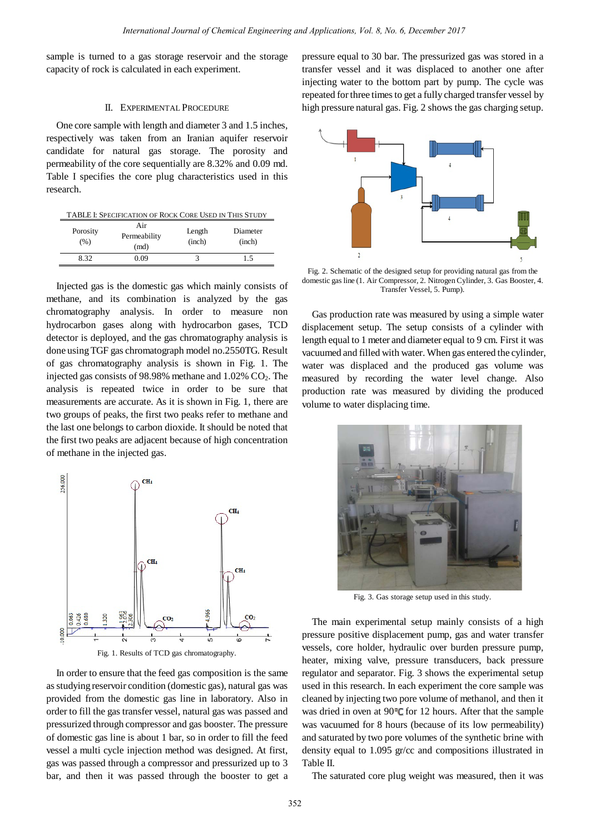sample is turned to a gas storage reservoir and the storage capacity of rock is calculated in each experiment.

## II. EXPERIMENTAL PROCEDURE

One core sample with length and diameter 3 and 1.5 inches, respectively was taken from an Iranian aquifer reservoir candidate for natural gas storage. The porosity and permeability of the core sequentially are 8.32% and 0.09 md. Table I specifies the core plug characteristics used in this research.

| TABLE I: SPECIFICATION OF ROCK CORE USED IN THIS STUDY |                             |                  |                    |  |
|--------------------------------------------------------|-----------------------------|------------------|--------------------|--|
| Porosity<br>(% )                                       | Air<br>Permeability<br>(md) | Length<br>(inch) | Diameter<br>(inch) |  |
| 832                                                    | 0.09                        |                  | 1.5                |  |

Injected gas is the domestic gas which mainly consists of methane, and its combination is analyzed by the gas chromatography analysis. In order to measure non hydrocarbon gases along with hydrocarbon gases, TCD detector is deployed, and the gas chromatography analysis is done using TGF gas chromatograph model no.2550TG. Result of gas chromatography analysis is shown in Fig. 1. The injected gas consists of 98.98% methane and  $1.02\%$  CO<sub>2</sub>. The analysis is repeated twice in order to be sure that measurements are accurate. As it is shown in Fig. 1, there are two groups of peaks, the first two peaks refer to methane and the last one belongs to carbon dioxide. It should be noted that the first two peaks are adjacent because of high concentration of methane in the injected gas.





In order to ensure that the feed gas composition is the same as studying reservoir condition (domestic gas), natural gas was provided from the domestic gas line in laboratory. Also in order to fill the gas transfer vessel, natural gas was passed and pressurized through compressor and gas booster. The pressure of domestic gas line is about 1 bar, so in order to fill the feed vessel a multi cycle injection method was designed. At first, gas was passed through a compressor and pressurized up to 3 bar, and then it was passed through the booster to get a pressure equal to 30 bar. The pressurized gas was stored in a transfer vessel and it was displaced to another one after injecting water to the bottom part by pump. The cycle was repeated for three times to get a fully charged transfer vessel by high pressure natural gas. Fig. 2 shows the gas charging setup.



Fig. 2. Schematic of the designed setup for providing natural gas from the domestic gas line (1. Air Compressor, 2. Nitrogen Cylinder, 3. Gas Booster, 4. Transfer Vessel, 5. Pump).

Gas production rate was measured by using a simple water displacement setup. The setup consists of a cylinder with length equal to 1 meter and diameter equal to 9 cm. First it was vacuumed and filled with water. When gas entered the cylinder, water was displaced and the produced gas volume was measured by recording the water level change. Also production rate was measured by dividing the produced volume to water displacing time.



Fig. 3. Gas storage setup used in this study.

The main experimental setup mainly consists of a high pressure positive displacement pump, gas and water transfer vessels, core holder, hydraulic over burden pressure pump, heater, mixing valve, pressure transducers, back pressure regulator and separator. Fig. 3 shows the experimental setup used in this research. In each experiment the core sample was cleaned by injecting two pore volume of methanol, and then it was dried in oven at  $90^{\circ}$ C for 12 hours. After that the sample was vacuumed for 8 hours (because of its low permeability) and saturated by two pore volumes of the synthetic brine with density equal to 1.095 gr/cc and compositions illustrated in Table II.

The saturated core plug weight was measured, then it was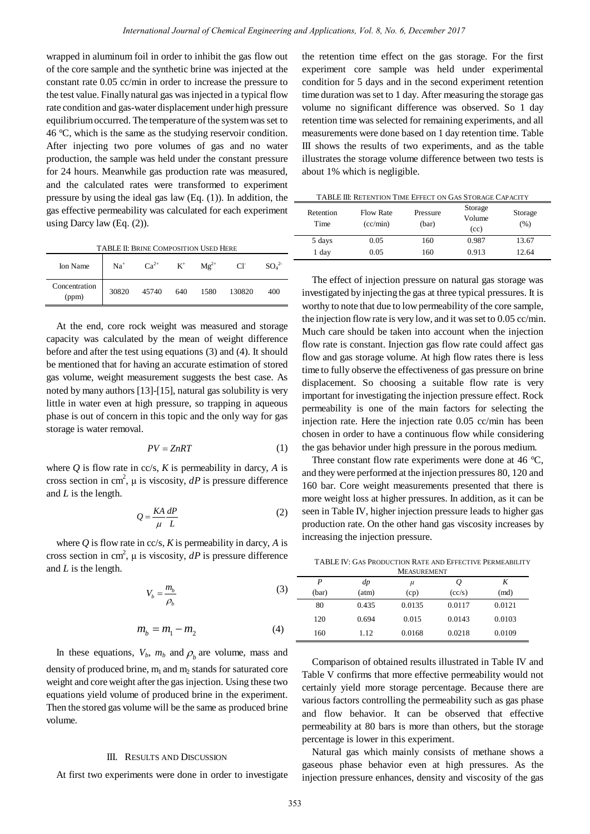wrapped in aluminum foil in order to inhibit the gas flow out of the core sample and the synthetic brine was injected at the constant rate 0.05 cc/min in order to increase the pressure to the test value. Finally natural gas was injected in a typical flow rate condition and gas-water displacement under high pressure equilibrium occurred. The temperature of the system was set to 46 °C, which is the same as the studying reservoir condition. After injecting two pore volumes of gas and no water production, the sample was held under the constant pressure for 24 hours. Meanwhile gas production rate was measured, and the calculated rates were transformed to experiment pressure by using the ideal gas law (Eq. (1)). In addition, the gas effective permeability was calculated for each experiment using Darcy law (Eq. (2)).

TABLE II: BRINE COMPOSITION USED HERE

| Ion Name               | $Na+$ | $Ca^{2+}$ | $K^+$ | $Mg^{2+}$ | $CI^{\dagger}$ | SO <sub>4</sub> <sup>2</sup> |
|------------------------|-------|-----------|-------|-----------|----------------|------------------------------|
| Concentration<br>(ppm) | 30820 | 45740     | 640   | 1580      | 130820         | 400                          |

At the end, core rock weight was measured and storage capacity was calculated by the mean of weight difference before and after the test using equations (3) and (4). It should be mentioned that for having an accurate estimation of stored gas volume, weight measurement suggests the best case. As noted by many authors [13]-[15], natural gas solubility is very little in water even at high pressure, so trapping in aqueous phase is out of concern in this topic and the only way for gas storage is water removal.

$$
PV = ZnRT \tag{1}
$$

where  $Q$  is flow rate in cc/s,  $K$  is permeability in darcy,  $A$  is cross section in cm<sup>2</sup>,  $\mu$  is viscosity, *dP* is pressure difference and *L* is the length.

$$
Q = \frac{KA}{\mu} \frac{dP}{L} \tag{2}
$$

where  $Q$  is flow rate in cc/s,  $K$  is permeability in darcy,  $A$  is cross section in cm<sup>2</sup>,  $\mu$  is viscosity, *dP* is pressure difference and *L* is the length.

$$
V_b = \frac{m_b}{\rho_b} \tag{3}
$$

$$
m_b = m_1 - m_2 \tag{4}
$$

In these equations,  $V_b$ ,  $m_b$  and  $\rho_b$  are volume, mass and density of produced brine,  $m_1$  and  $m_2$  stands for saturated core weight and core weight after the gas injection. Using these two equations yield volume of produced brine in the experiment. Then the stored gas volume will be the same as produced brine volume.

### III. RESULTS AND DISCUSSION

At first two experiments were done in order to investigate

the retention time effect on the gas storage. For the first experiment core sample was held under experimental condition for 5 days and in the second experiment retention time duration was set to 1 day. After measuring the storage gas volume no significant difference was observed. So 1 day retention time was selected for remaining experiments, and all measurements were done based on 1 day retention time. Table III shows the results of two experiments, and as the table illustrates the storage volume difference between two tests is about 1% which is negligible.

TABLE III: RETENTION TIME EFFECT ON GAS STORAGE CAPACITY

| Retention<br>Time | <b>Flow Rate</b><br>(cc/min) | Pressure<br>(bar) | Storage<br>Volume<br>(cc) | Storage<br>(%) |
|-------------------|------------------------------|-------------------|---------------------------|----------------|
| 5 days            | 0.05                         | 160               | 0.987                     | 13.67          |
| 1 day             | 0.05                         | 160               | 0.913                     | 12.64          |

The effect of injection pressure on natural gas storage was investigated by injecting the gas at three typical pressures. It is worthy to note that due to low permeability of the core sample, the injection flow rate is very low, and it was set to  $0.05$  cc/min. Much care should be taken into account when the injection flow rate is constant. Injection gas flow rate could affect gas flow and gas storage volume. At high flow rates there is less time to fully observe the effectiveness of gas pressure on brine displacement. So choosing a suitable flow rate is very important for investigating the injection pressure effect. Rock permeability is one of the main factors for selecting the injection rate. Here the injection rate 0.05 cc/min has been chosen in order to have a continuous flow while considering the gas behavior under high pressure in the porous medium.

Three constant flow rate experiments were done at 46 °C, and they were performed at the injection pressures 80, 120 and 160 bar. Core weight measurements presented that there is more weight loss at higher pressures. In addition, as it can be seen in Table IV, higher injection pressure leads to higher gas production rate. On the other hand gas viscosity increases by increasing the injection pressure.

TABLE IV: GAS PRODUCTION RATE AND EFFECTIVE PERMEABILITY

| <b>MEASUREMENT</b> |       |        |        |        |
|--------------------|-------|--------|--------|--------|
| P                  | dp    | $\mu$  | Q      | K      |
| (bar)              | (atm) | (cp)   | (cc/s) | (md)   |
| 80                 | 0.435 | 0.0135 | 0.0117 | 0.0121 |
| 120                | 0.694 | 0.015  | 0.0143 | 0.0103 |
| 160                | 1.12  | 0.0168 | 0.0218 | 0.0109 |

Comparison of obtained results illustrated in Table IV and Table V confirms that more effective permeability would not certainly yield more storage percentage. Because there are various factors controlling the permeability such as gas phase and flow behavior. It can be observed that effective permeability at 80 bars is more than others, but the storage percentage is lower in this experiment.

Natural gas which mainly consists of methane shows a gaseous phase behavior even at high pressures. As the injection pressure enhances, density and viscosity of the gas